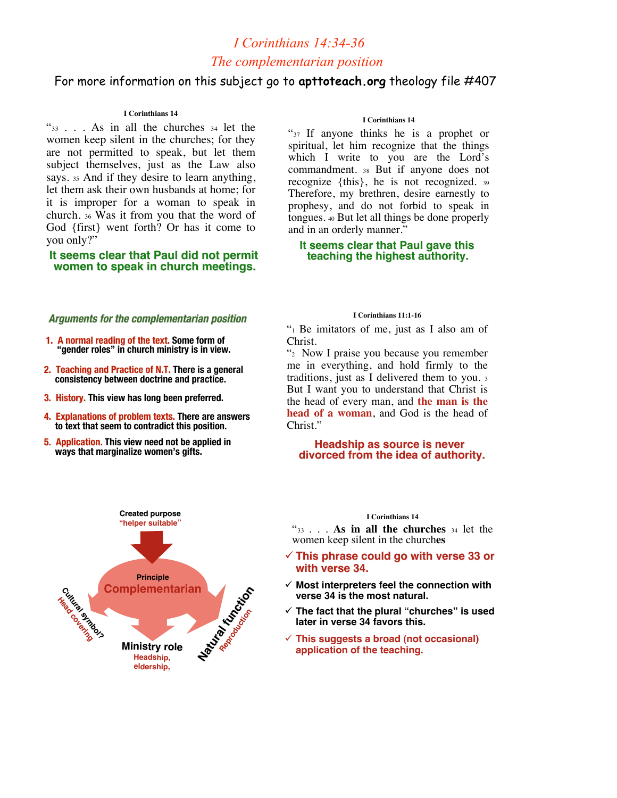## *I Corinthians 14:34-36 The complementarian position*

## For more information on this subject go to **apttoteach.org** theology file #407

## **I Corinthians 14**

"33 . . . As in all the churches <sup>34</sup> let the women keep silent in the churches; for they are not permitted to speak, but let them subject themselves, just as the Law also says. 35 And if they desire to learn anything, let them ask their own husbands at home; for it is improper for a woman to speak in church. <sup>36</sup> Was it from you that the word of God {first} went forth? Or has it come to you only?"

 **It seems clear that Paul did not permit It seems clear that Paul did not permit women to speak in church meetings. women to speak in church meetings.**

## **Arguments for the complementarian position**

- **1. A normal reading of the text. Some form of "gender roles" in church ministry is in view.**
- **2. Teaching and Practice of N.T. There is a general consistency between doctrine and practice.**
- **3. History. History. This view has long been preferred.**
- **4. Explanations of problem texts. There are answers to text that seem to contradict this position.**
- **5. Application. 5. Application. This view need not be applied in ways that marginalize women's gifts.**



### **I Corinthians 14**

"37 If anyone thinks he is a prophet or spiritual, let him recognize that the things which I write to you are the Lord's commandment. <sup>38</sup> But if anyone does not recognize {this}, he is not recognized. <sup>39</sup> Therefore, my brethren, desire earnestly to prophesy, and do not forbid to speak in tongues. 40 But let all things be done properly and in an orderly manner."

## **It seems clear that Paul gave this teaching the highest authority. teaching the highest authority.**

#### **I Corinthians 11:1-16**

"1 Be imitators of me, just as I also am of Christ.

"2 Now I praise you because you remember me in everything, and hold firmly to the traditions, just as I delivered them to you. <sup>3</sup> But I want you to understand that Christ is the head of every man, and **the man is the head of a woman**, and God is the head of Christ."

# **Headship as source is never<br>divorced from the idea of authority.**

### **I Corinthians 14**

"33 . . . **As in all the churches** <sup>34</sup> let the women keep silent in the church**es**

- **This phrase could go with verse 33 or This phrase could go with verse 33 or with verse 34. with verse 34.**
- **Most interpreters feel the connection with verse 34 is the most natural.**
- **The fact that the plural "churches" is used later in verse 34 favors this.**
- **This suggests a broad (not occasional) application of the teaching.**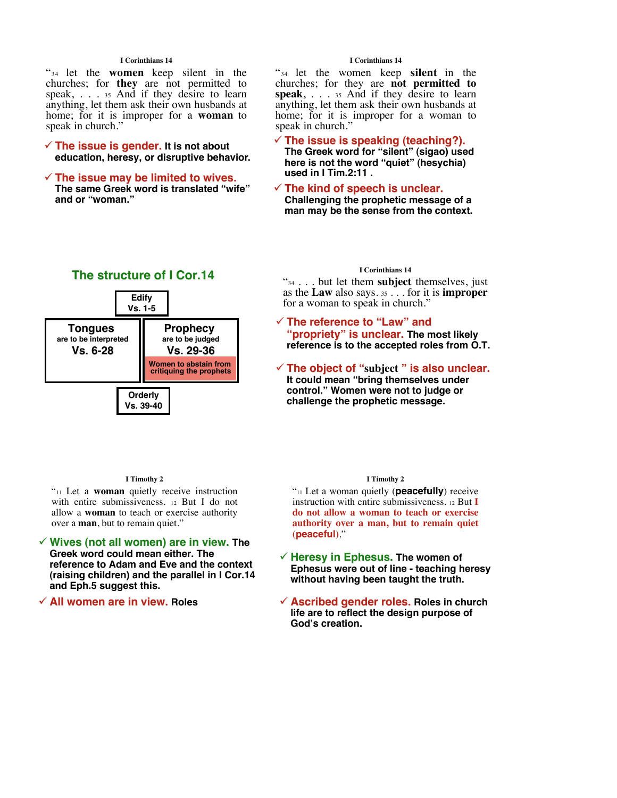## **I Corinthians 14**

"34 let the **women** keep silent in the churches; for **they** are not permitted to speak, . . . 35 And if they desire to learn anything, let them ask their own husbands at home; for it is improper for a **woman** to speak in church."

## $\checkmark$  The issue is gender. It is not about **education, heresy, or disruptive behavior.**

## $\checkmark$  The issue may be limited to wives.

**The same Greek word is translated "wife" and or "woman."**

## **I Corinthians 14**

"34 let the women keep **silent** in the churches; for they are **not permitted to speak**, . . . <sup>35</sup> And if they desire to learn anything, let them ask their own husbands at home; for it is improper for a woman to speak in church."

## **The issue is speaking (teaching?). The issue is (teaching?).**

**The Greek word for "silent" (sigao) used here is not the word "quiet" (hesychia) used in I Tim.2:11 .**

## $\checkmark$  The kind of speech is unclear.

**Challenging the prophetic message of a man may be the sense from the context.**



#### **I Timothy 2**

"11 Let a **woman** quietly receive instruction with entire submissiveness. <sup>12</sup> But I do not allow a **woman** to teach or exercise authority over a **man**, but to remain quiet."

- **Wives (not all women) are in view. Wives (not all women) are The Greek word could mean either. The reference to Adam and Eve and the context (raising children) and the parallel in I Cor.14 and Eph.5 suggest this.**
- **√ All women are in view. Roles**

#### **I Corinthians 14**

"34 . . . but let them **subject** themselves, just as the **Law** also says. 35 . . . for it is **improper** for a woman to speak in church."

## **The reference to The reference to "Law" and** "**propriety" is unclear. The most likely reference is to the accepted roles from O.T.**

**The object of "**subject" is also unclear. **It could mean "bring themselves under control." Women were not to judge or challenge the prophetic message.**

### **I Timothy 2**

"11 Let a woman quietly (**peacefully**) receive instruction with entire submissiveness. 12 But **I do not allow a woman to teach or exercise authority over a man, but to remain quiet (peaceful)**."

- **Heresy in Ephesus. Heresy in Ephesus. The women of Ephesus were out of line - teaching heresy without having been taught the truth.**
- **★ Ascribed gender roles. Roles in church life are to reflect the design purpose of God's creation.**